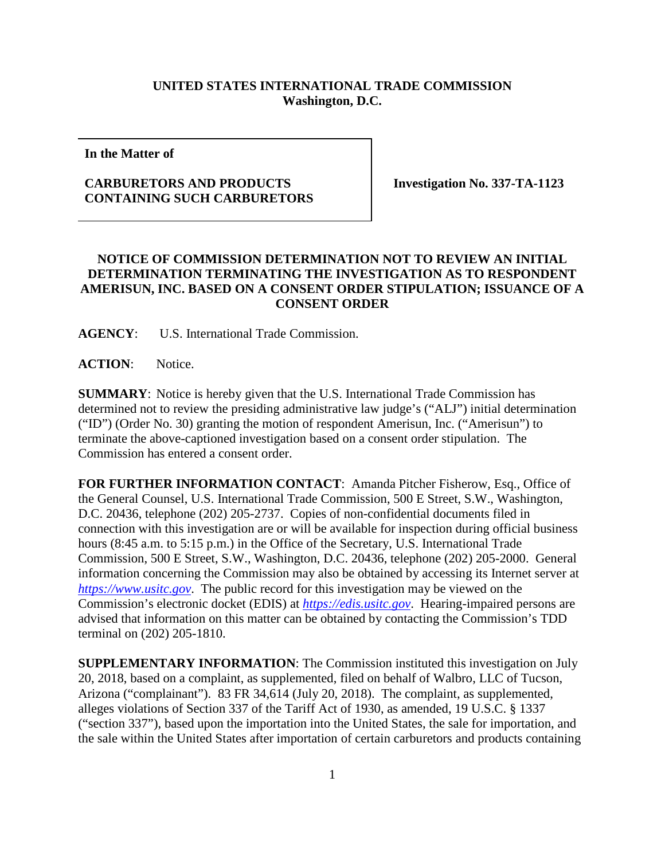## **UNITED STATES INTERNATIONAL TRADE COMMISSION Washington, D.C.**

**In the Matter of**

## **CARBURETORS AND PRODUCTS CONTAINING SUCH CARBURETORS**

**Investigation No. 337-TA-1123**

## **NOTICE OF COMMISSION DETERMINATION NOT TO REVIEW AN INITIAL DETERMINATION TERMINATING THE INVESTIGATION AS TO RESPONDENT AMERISUN, INC. BASED ON A CONSENT ORDER STIPULATION; ISSUANCE OF A CONSENT ORDER**

**AGENCY**: U.S. International Trade Commission.

**ACTION**: Notice.

**SUMMARY**: Notice is hereby given that the U.S. International Trade Commission has determined not to review the presiding administrative law judge's ("ALJ") initial determination ("ID") (Order No. 30) granting the motion of respondent Amerisun, Inc. ("Amerisun") to terminate the above-captioned investigation based on a consent order stipulation. The Commission has entered a consent order.

**FOR FURTHER INFORMATION CONTACT**: Amanda Pitcher Fisherow, Esq., Office of the General Counsel, U.S. International Trade Commission, 500 E Street, S.W., Washington, D.C. 20436, telephone (202) 205-2737. Copies of non-confidential documents filed in connection with this investigation are or will be available for inspection during official business hours (8:45 a.m. to 5:15 p.m.) in the Office of the Secretary, U.S. International Trade Commission, 500 E Street, S.W., Washington, D.C. 20436, telephone (202) 205-2000. General information concerning the Commission may also be obtained by accessing its Internet server at *[https://www.usitc.gov](https://www.usitc.gov/)*. The public record for this investigation may be viewed on the Commission's electronic docket (EDIS) at *[https://edis.usitc.gov](https://edis.usitc.gov/)*. Hearing-impaired persons are advised that information on this matter can be obtained by contacting the Commission's TDD terminal on (202) 205-1810.

**SUPPLEMENTARY INFORMATION**: The Commission instituted this investigation on July 20, 2018, based on a complaint, as supplemented, filed on behalf of Walbro, LLC of Tucson, Arizona ("complainant"). 83 FR 34,614 (July 20, 2018). The complaint, as supplemented, alleges violations of Section 337 of the Tariff Act of 1930, as amended, 19 U.S.C. § 1337 ("section 337"), based upon the importation into the United States, the sale for importation, and the sale within the United States after importation of certain carburetors and products containing